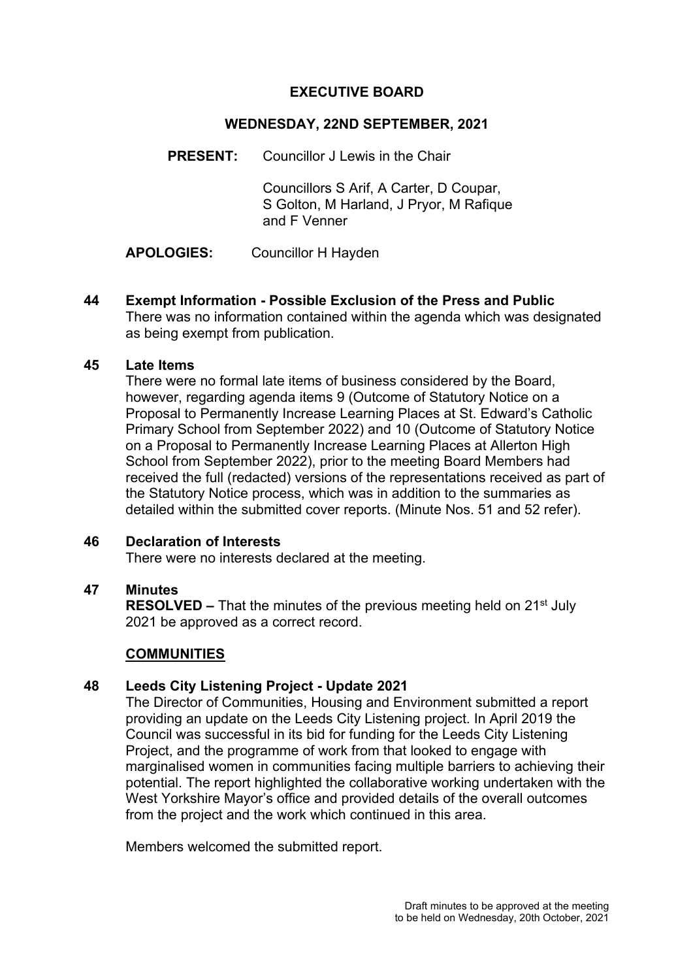# **EXECUTIVE BOARD**

### **WEDNESDAY, 22ND SEPTEMBER, 2021**

**PRESENT:** Councillor J Lewis in the Chair

 Councillors S Arif, A Carter, D Coupar, S Golton, M Harland, J Pryor, M Rafique and F Venner

**APOLOGIES:** Councillor H Hayden

**44 Exempt Information - Possible Exclusion of the Press and Public**  There was no information contained within the agenda which was designated as being exempt from publication.

# **45 Late Items**

There were no formal late items of business considered by the Board, however, regarding agenda items 9 (Outcome of Statutory Notice on a Proposal to Permanently Increase Learning Places at St. Edward's Catholic Primary School from September 2022) and 10 (Outcome of Statutory Notice on a Proposal to Permanently Increase Learning Places at Allerton High School from September 2022), prior to the meeting Board Members had received the full (redacted) versions of the representations received as part of the Statutory Notice process, which was in addition to the summaries as detailed within the submitted cover reports. (Minute Nos. 51 and 52 refer).

# **46 Declaration of Interests**

There were no interests declared at the meeting.

# **47 Minutes**

**RESOLVED –** That the minutes of the previous meeting held on 21<sup>st</sup> July 2021 be approved as a correct record.

#### **COMMUNITIES**

# **48 Leeds City Listening Project - Update 2021**

The Director of Communities, Housing and Environment submitted a report providing an update on the Leeds City Listening project. In April 2019 the Council was successful in its bid for funding for the Leeds City Listening Project, and the programme of work from that looked to engage with marginalised women in communities facing multiple barriers to achieving their potential. The report highlighted the collaborative working undertaken with the West Yorkshire Mayor's office and provided details of the overall outcomes from the project and the work which continued in this area.

Members welcomed the submitted report.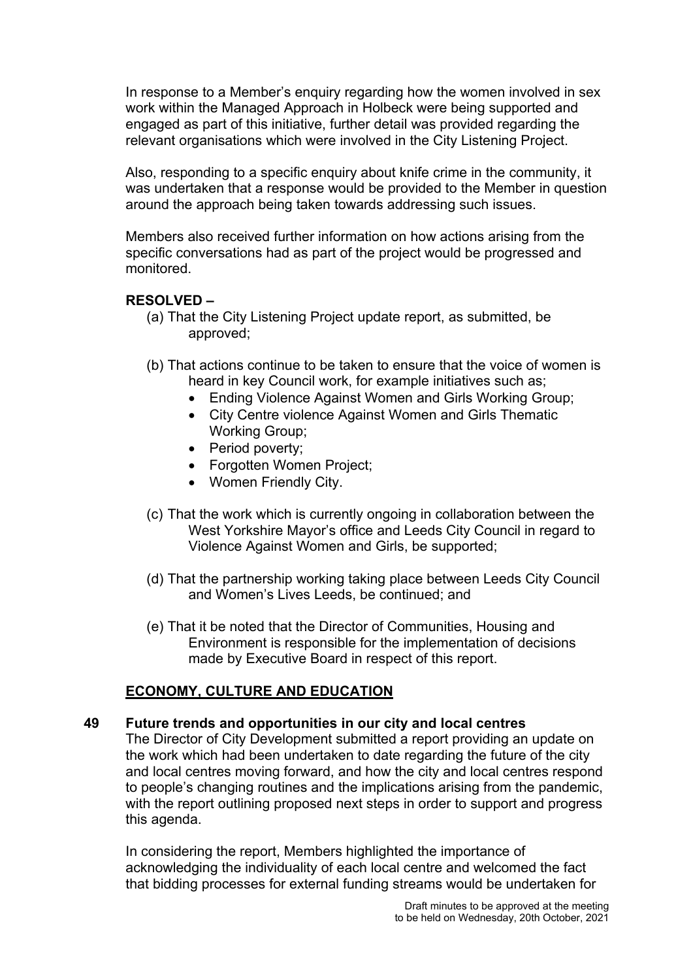In response to a Member's enquiry regarding how the women involved in sex work within the Managed Approach in Holbeck were being supported and engaged as part of this initiative, further detail was provided regarding the relevant organisations which were involved in the City Listening Project.

Also, responding to a specific enquiry about knife crime in the community, it was undertaken that a response would be provided to the Member in question around the approach being taken towards addressing such issues.

Members also received further information on how actions arising from the specific conversations had as part of the project would be progressed and monitored.

# **RESOLVED –**

- (a) That the City Listening Project update report, as submitted, be approved;
- (b) That actions continue to be taken to ensure that the voice of women is heard in key Council work, for example initiatives such as;
	- Ending Violence Against Women and Girls Working Group;
	- City Centre violence Against Women and Girls Thematic Working Group;
	- Period poverty;
	- Forgotten Women Project;
	- Women Friendly City.
- (c) That the work which is currently ongoing in collaboration between the West Yorkshire Mayor's office and Leeds City Council in regard to Violence Against Women and Girls, be supported;
- (d) That the partnership working taking place between Leeds City Council and Women's Lives Leeds, be continued; and
- (e) That it be noted that the Director of Communities, Housing and Environment is responsible for the implementation of decisions made by Executive Board in respect of this report.

# **ECONOMY, CULTURE AND EDUCATION**

# **49 Future trends and opportunities in our city and local centres**

The Director of City Development submitted a report providing an update on the work which had been undertaken to date regarding the future of the city and local centres moving forward, and how the city and local centres respond to people's changing routines and the implications arising from the pandemic, with the report outlining proposed next steps in order to support and progress this agenda.

In considering the report, Members highlighted the importance of acknowledging the individuality of each local centre and welcomed the fact that bidding processes for external funding streams would be undertaken for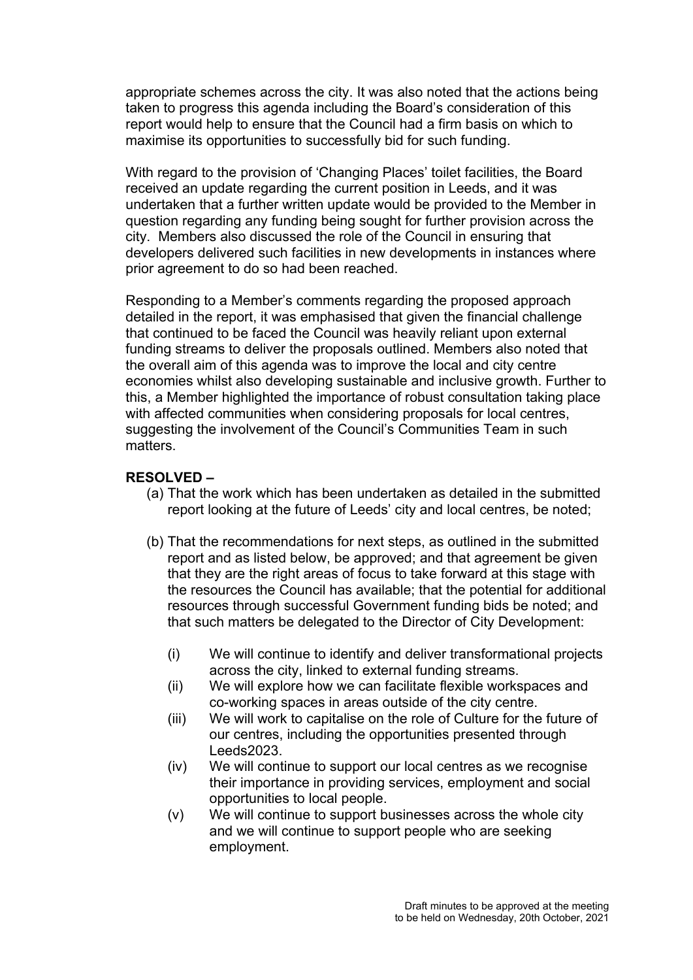appropriate schemes across the city. It was also noted that the actions being taken to progress this agenda including the Board's consideration of this report would help to ensure that the Council had a firm basis on which to maximise its opportunities to successfully bid for such funding.

With regard to the provision of 'Changing Places' toilet facilities, the Board received an update regarding the current position in Leeds, and it was undertaken that a further written update would be provided to the Member in question regarding any funding being sought for further provision across the city. Members also discussed the role of the Council in ensuring that developers delivered such facilities in new developments in instances where prior agreement to do so had been reached.

Responding to a Member's comments regarding the proposed approach detailed in the report, it was emphasised that given the financial challenge that continued to be faced the Council was heavily reliant upon external funding streams to deliver the proposals outlined. Members also noted that the overall aim of this agenda was to improve the local and city centre economies whilst also developing sustainable and inclusive growth. Further to this, a Member highlighted the importance of robust consultation taking place with affected communities when considering proposals for local centres, suggesting the involvement of the Council's Communities Team in such matters.

#### **RESOLVED –**

- (a) That the work which has been undertaken as detailed in the submitted report looking at the future of Leeds' city and local centres, be noted;
- (b) That the recommendations for next steps, as outlined in the submitted report and as listed below, be approved; and that agreement be given that they are the right areas of focus to take forward at this stage with the resources the Council has available; that the potential for additional resources through successful Government funding bids be noted; and that such matters be delegated to the Director of City Development:
	- (i) We will continue to identify and deliver transformational projects across the city, linked to external funding streams.
	- (ii) We will explore how we can facilitate flexible workspaces and co-working spaces in areas outside of the city centre.
	- (iii) We will work to capitalise on the role of Culture for the future of our centres, including the opportunities presented through Leeds2023.
	- (iv) We will continue to support our local centres as we recognise their importance in providing services, employment and social opportunities to local people.
	- (v) We will continue to support businesses across the whole city and we will continue to support people who are seeking employment.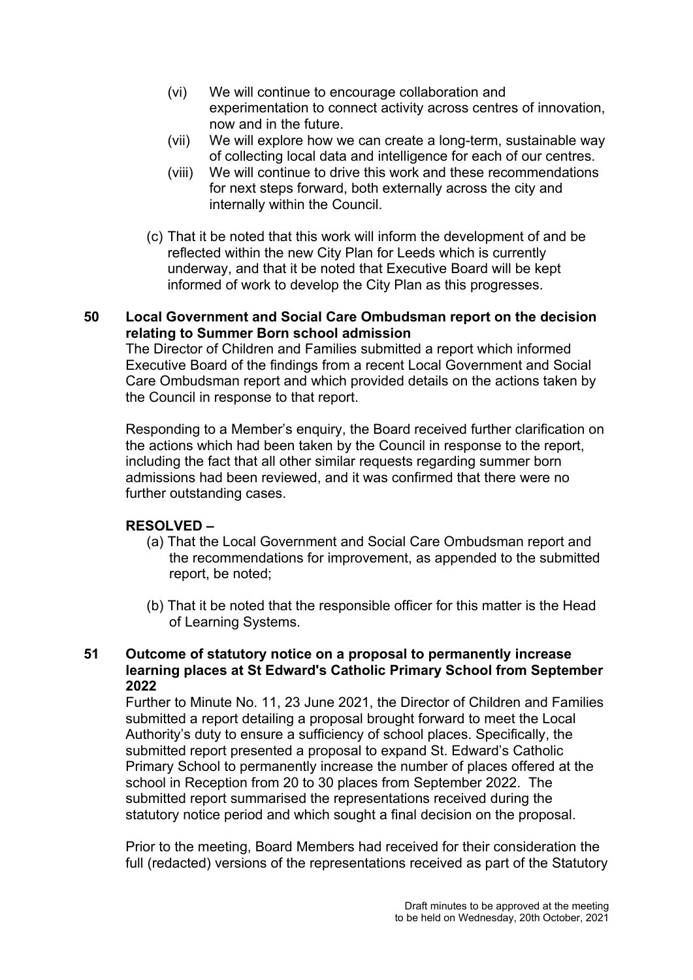- (vi) We will continue to encourage collaboration and experimentation to connect activity across centres of innovation, now and in the future.
- (vii) We will explore how we can create a long-term, sustainable way of collecting local data and intelligence for each of our centres.
- (viii) We will continue to drive this work and these recommendations for next steps forward, both externally across the city and internally within the Council.
- (c) That it be noted that this work will inform the development of and be reflected within the new City Plan for Leeds which is currently underway, and that it be noted that Executive Board will be kept informed of work to develop the City Plan as this progresses.

# **50 Local Government and Social Care Ombudsman report on the decision relating to Summer Born school admission**

The Director of Children and Families submitted a report which informed Executive Board of the findings from a recent Local Government and Social Care Ombudsman report and which provided details on the actions taken by the Council in response to that report.

Responding to a Member's enquiry, the Board received further clarification on the actions which had been taken by the Council in response to the report, including the fact that all other similar requests regarding summer born admissions had been reviewed, and it was confirmed that there were no further outstanding cases.

# **RESOLVED –**

- (a) That the Local Government and Social Care Ombudsman report and the recommendations for improvement, as appended to the submitted report, be noted;
- (b) That it be noted that the responsible officer for this matter is the Head of Learning Systems.

# **51 Outcome of statutory notice on a proposal to permanently increase learning places at St Edward's Catholic Primary School from September 2022**

Further to Minute No. 11, 23 June 2021, the Director of Children and Families submitted a report detailing a proposal brought forward to meet the Local Authority's duty to ensure a sufficiency of school places. Specifically, the submitted report presented a proposal to expand St. Edward's Catholic Primary School to permanently increase the number of places offered at the school in Reception from 20 to 30 places from September 2022. The submitted report summarised the representations received during the statutory notice period and which sought a final decision on the proposal.

Prior to the meeting, Board Members had received for their consideration the full (redacted) versions of the representations received as part of the Statutory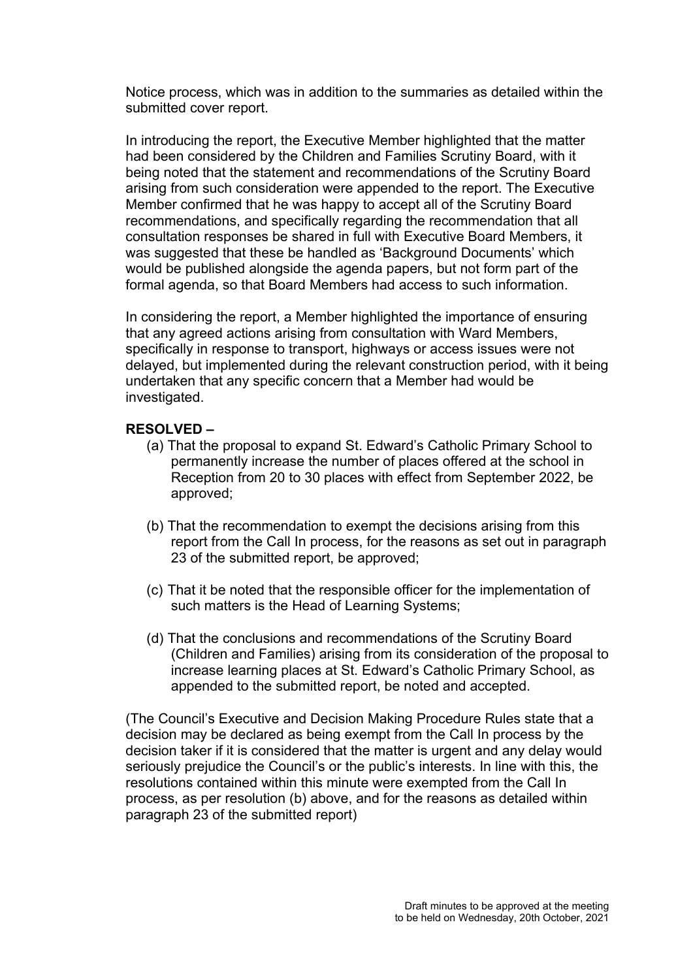Notice process, which was in addition to the summaries as detailed within the submitted cover report.

In introducing the report, the Executive Member highlighted that the matter had been considered by the Children and Families Scrutiny Board, with it being noted that the statement and recommendations of the Scrutiny Board arising from such consideration were appended to the report. The Executive Member confirmed that he was happy to accept all of the Scrutiny Board recommendations, and specifically regarding the recommendation that all consultation responses be shared in full with Executive Board Members, it was suggested that these be handled as 'Background Documents' which would be published alongside the agenda papers, but not form part of the formal agenda, so that Board Members had access to such information.

In considering the report, a Member highlighted the importance of ensuring that any agreed actions arising from consultation with Ward Members, specifically in response to transport, highways or access issues were not delayed, but implemented during the relevant construction period, with it being undertaken that any specific concern that a Member had would be investigated.

#### **RESOLVED –**

- (a) That the proposal to expand St. Edward's Catholic Primary School to permanently increase the number of places offered at the school in Reception from 20 to 30 places with effect from September 2022, be approved;
- (b) That the recommendation to exempt the decisions arising from this report from the Call In process, for the reasons as set out in paragraph 23 of the submitted report, be approved;
- (c) That it be noted that the responsible officer for the implementation of such matters is the Head of Learning Systems;
- (d) That the conclusions and recommendations of the Scrutiny Board (Children and Families) arising from its consideration of the proposal to increase learning places at St. Edward's Catholic Primary School, as appended to the submitted report, be noted and accepted.

(The Council's Executive and Decision Making Procedure Rules state that a decision may be declared as being exempt from the Call In process by the decision taker if it is considered that the matter is urgent and any delay would seriously prejudice the Council's or the public's interests. In line with this, the resolutions contained within this minute were exempted from the Call In process, as per resolution (b) above, and for the reasons as detailed within paragraph 23 of the submitted report)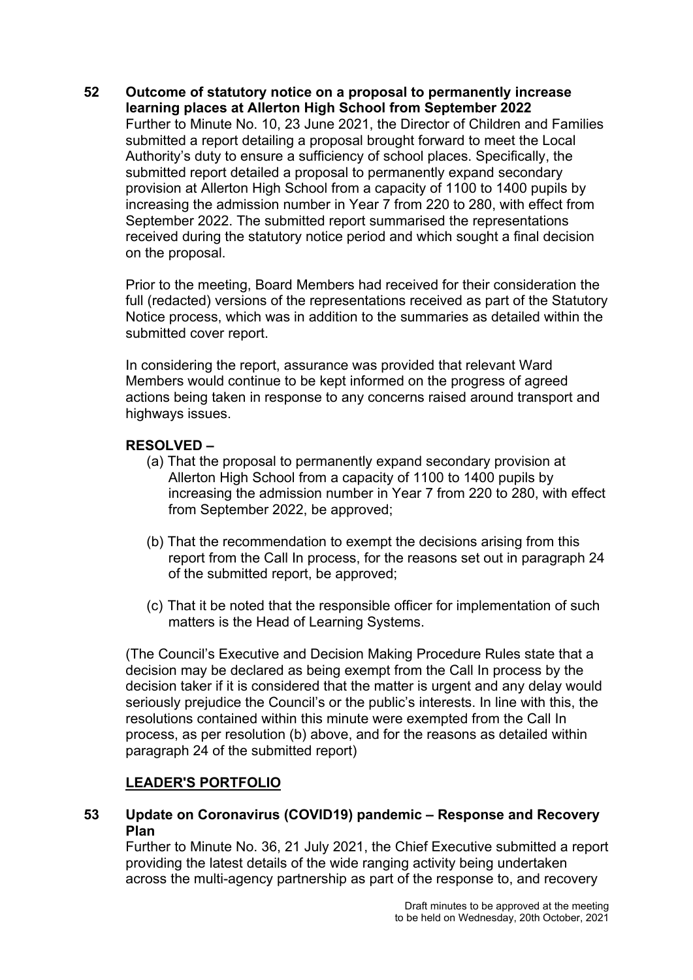### **52 Outcome of statutory notice on a proposal to permanently increase learning places at Allerton High School from September 2022**  Further to Minute No. 10, 23 June 2021, the Director of Children and Families submitted a report detailing a proposal brought forward to meet the Local Authority's duty to ensure a sufficiency of school places. Specifically, the submitted report detailed a proposal to permanently expand secondary provision at Allerton High School from a capacity of 1100 to 1400 pupils by increasing the admission number in Year 7 from 220 to 280, with effect from September 2022. The submitted report summarised the representations received during the statutory notice period and which sought a final decision on the proposal.

Prior to the meeting, Board Members had received for their consideration the full (redacted) versions of the representations received as part of the Statutory Notice process, which was in addition to the summaries as detailed within the submitted cover report.

In considering the report, assurance was provided that relevant Ward Members would continue to be kept informed on the progress of agreed actions being taken in response to any concerns raised around transport and highways issues.

# **RESOLVED –**

- (a) That the proposal to permanently expand secondary provision at Allerton High School from a capacity of 1100 to 1400 pupils by increasing the admission number in Year 7 from 220 to 280, with effect from September 2022, be approved;
- (b) That the recommendation to exempt the decisions arising from this report from the Call In process, for the reasons set out in paragraph 24 of the submitted report, be approved;
- (c) That it be noted that the responsible officer for implementation of such matters is the Head of Learning Systems.

(The Council's Executive and Decision Making Procedure Rules state that a decision may be declared as being exempt from the Call In process by the decision taker if it is considered that the matter is urgent and any delay would seriously prejudice the Council's or the public's interests. In line with this, the resolutions contained within this minute were exempted from the Call In process, as per resolution (b) above, and for the reasons as detailed within paragraph 24 of the submitted report)

# **LEADER'S PORTFOLIO**

**53 Update on Coronavirus (COVID19) pandemic – Response and Recovery Plan** 

Further to Minute No. 36, 21 July 2021, the Chief Executive submitted a report providing the latest details of the wide ranging activity being undertaken across the multi-agency partnership as part of the response to, and recovery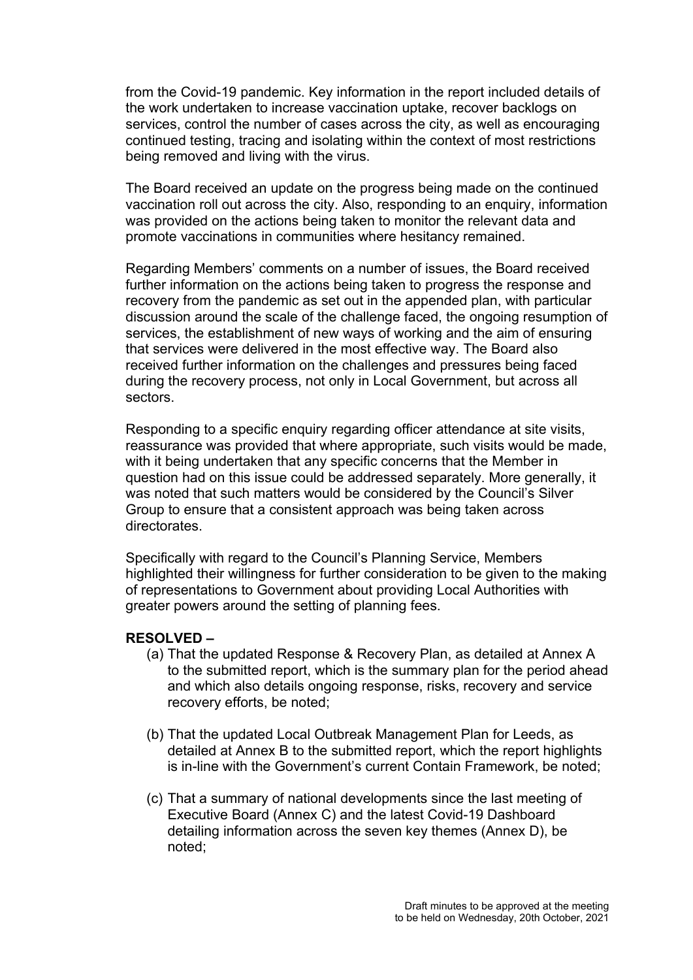from the Covid-19 pandemic. Key information in the report included details of the work undertaken to increase vaccination uptake, recover backlogs on services, control the number of cases across the city, as well as encouraging continued testing, tracing and isolating within the context of most restrictions being removed and living with the virus.

The Board received an update on the progress being made on the continued vaccination roll out across the city. Also, responding to an enquiry, information was provided on the actions being taken to monitor the relevant data and promote vaccinations in communities where hesitancy remained.

Regarding Members' comments on a number of issues, the Board received further information on the actions being taken to progress the response and recovery from the pandemic as set out in the appended plan, with particular discussion around the scale of the challenge faced, the ongoing resumption of services, the establishment of new ways of working and the aim of ensuring that services were delivered in the most effective way. The Board also received further information on the challenges and pressures being faced during the recovery process, not only in Local Government, but across all sectors.

Responding to a specific enquiry regarding officer attendance at site visits, reassurance was provided that where appropriate, such visits would be made, with it being undertaken that any specific concerns that the Member in question had on this issue could be addressed separately. More generally, it was noted that such matters would be considered by the Council's Silver Group to ensure that a consistent approach was being taken across directorates.

Specifically with regard to the Council's Planning Service, Members highlighted their willingness for further consideration to be given to the making of representations to Government about providing Local Authorities with greater powers around the setting of planning fees.

#### **RESOLVED –**

- (a) That the updated Response & Recovery Plan, as detailed at Annex A to the submitted report, which is the summary plan for the period ahead and which also details ongoing response, risks, recovery and service recovery efforts, be noted;
- (b) That the updated Local Outbreak Management Plan for Leeds, as detailed at Annex B to the submitted report, which the report highlights is in-line with the Government's current Contain Framework, be noted;
- (c) That a summary of national developments since the last meeting of Executive Board (Annex C) and the latest Covid-19 Dashboard detailing information across the seven key themes (Annex D), be noted;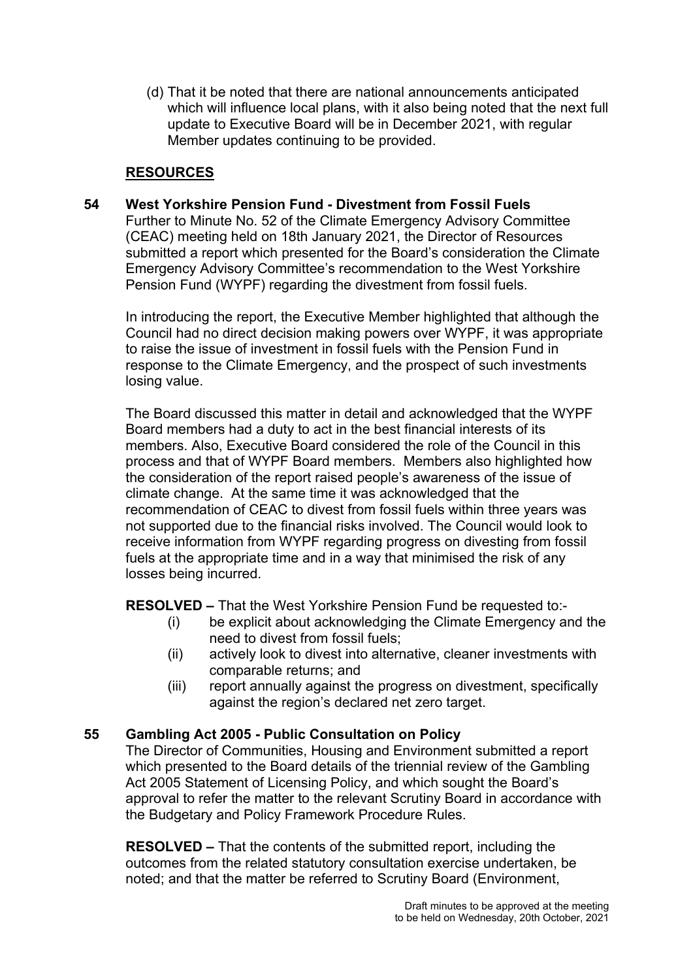(d) That it be noted that there are national announcements anticipated which will influence local plans, with it also being noted that the next full update to Executive Board will be in December 2021, with regular Member updates continuing to be provided.

# **RESOURCES**

# **54 West Yorkshire Pension Fund - Divestment from Fossil Fuels**

Further to Minute No. 52 of the Climate Emergency Advisory Committee (CEAC) meeting held on 18th January 2021, the Director of Resources submitted a report which presented for the Board's consideration the Climate Emergency Advisory Committee's recommendation to the West Yorkshire Pension Fund (WYPF) regarding the divestment from fossil fuels.

In introducing the report, the Executive Member highlighted that although the Council had no direct decision making powers over WYPF, it was appropriate to raise the issue of investment in fossil fuels with the Pension Fund in response to the Climate Emergency, and the prospect of such investments losing value.

The Board discussed this matter in detail and acknowledged that the WYPF Board members had a duty to act in the best financial interests of its members. Also, Executive Board considered the role of the Council in this process and that of WYPF Board members. Members also highlighted how the consideration of the report raised people's awareness of the issue of climate change. At the same time it was acknowledged that the recommendation of CEAC to divest from fossil fuels within three years was not supported due to the financial risks involved. The Council would look to receive information from WYPF regarding progress on divesting from fossil fuels at the appropriate time and in a way that minimised the risk of any losses being incurred.

**RESOLVED –** That the West Yorkshire Pension Fund be requested to:-

- (i) be explicit about acknowledging the Climate Emergency and the need to divest from fossil fuels;
- (ii) actively look to divest into alternative, cleaner investments with comparable returns; and
- (iii) report annually against the progress on divestment, specifically against the region's declared net zero target.

# **55 Gambling Act 2005 - Public Consultation on Policy**

The Director of Communities, Housing and Environment submitted a report which presented to the Board details of the triennial review of the Gambling Act 2005 Statement of Licensing Policy, and which sought the Board's approval to refer the matter to the relevant Scrutiny Board in accordance with the Budgetary and Policy Framework Procedure Rules.

**RESOLVED –** That the contents of the submitted report, including the outcomes from the related statutory consultation exercise undertaken, be noted; and that the matter be referred to Scrutiny Board (Environment,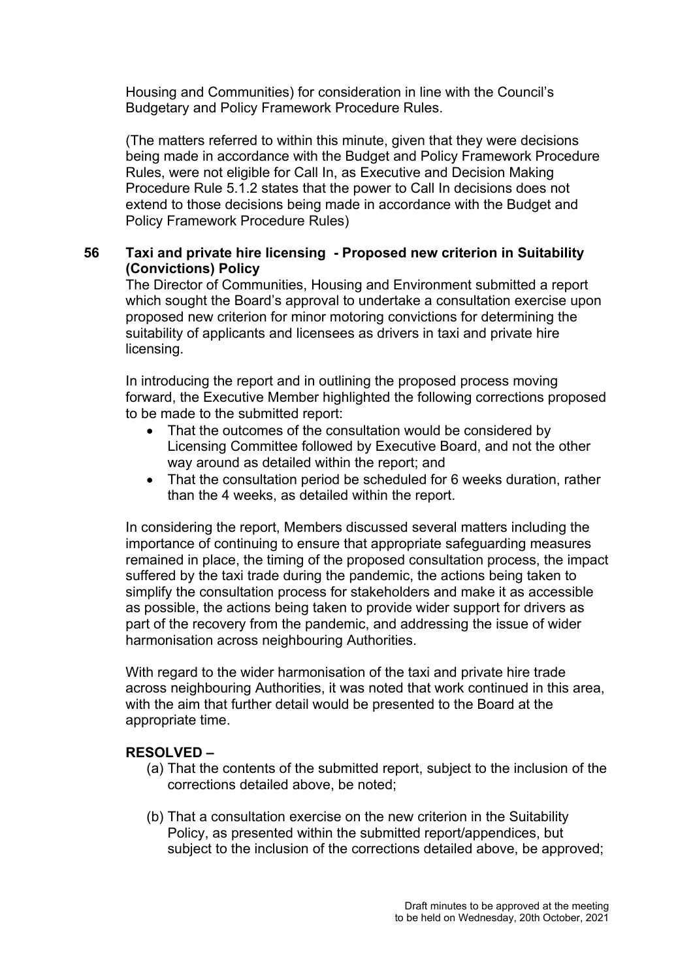Housing and Communities) for consideration in line with the Council's Budgetary and Policy Framework Procedure Rules.

(The matters referred to within this minute, given that they were decisions being made in accordance with the Budget and Policy Framework Procedure Rules, were not eligible for Call In, as Executive and Decision Making Procedure Rule 5.1.2 states that the power to Call In decisions does not extend to those decisions being made in accordance with the Budget and Policy Framework Procedure Rules)

# **56 Taxi and private hire licensing - Proposed new criterion in Suitability (Convictions) Policy**

The Director of Communities, Housing and Environment submitted a report which sought the Board's approval to undertake a consultation exercise upon proposed new criterion for minor motoring convictions for determining the suitability of applicants and licensees as drivers in taxi and private hire licensing.

In introducing the report and in outlining the proposed process moving forward, the Executive Member highlighted the following corrections proposed to be made to the submitted report:

- That the outcomes of the consultation would be considered by Licensing Committee followed by Executive Board, and not the other way around as detailed within the report; and
- That the consultation period be scheduled for 6 weeks duration, rather than the 4 weeks, as detailed within the report.

In considering the report, Members discussed several matters including the importance of continuing to ensure that appropriate safeguarding measures remained in place, the timing of the proposed consultation process, the impact suffered by the taxi trade during the pandemic, the actions being taken to simplify the consultation process for stakeholders and make it as accessible as possible, the actions being taken to provide wider support for drivers as part of the recovery from the pandemic, and addressing the issue of wider harmonisation across neighbouring Authorities.

With regard to the wider harmonisation of the taxi and private hire trade across neighbouring Authorities, it was noted that work continued in this area, with the aim that further detail would be presented to the Board at the appropriate time.

# **RESOLVED –**

- (a) That the contents of the submitted report, subject to the inclusion of the corrections detailed above, be noted;
- (b) That a consultation exercise on the new criterion in the Suitability Policy, as presented within the submitted report/appendices, but subject to the inclusion of the corrections detailed above, be approved;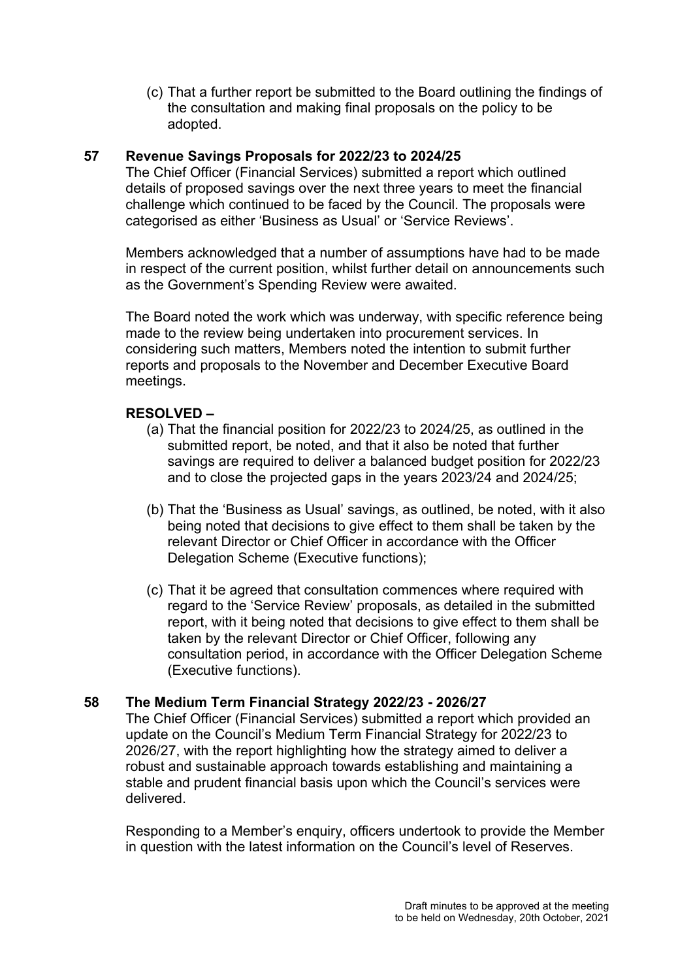(c) That a further report be submitted to the Board outlining the findings of the consultation and making final proposals on the policy to be adopted.

# **57 Revenue Savings Proposals for 2022/23 to 2024/25**

The Chief Officer (Financial Services) submitted a report which outlined details of proposed savings over the next three years to meet the financial challenge which continued to be faced by the Council. The proposals were categorised as either 'Business as Usual' or 'Service Reviews'.

Members acknowledged that a number of assumptions have had to be made in respect of the current position, whilst further detail on announcements such as the Government's Spending Review were awaited.

The Board noted the work which was underway, with specific reference being made to the review being undertaken into procurement services. In considering such matters, Members noted the intention to submit further reports and proposals to the November and December Executive Board meetings.

# **RESOLVED –**

- (a) That the financial position for 2022/23 to 2024/25, as outlined in the submitted report, be noted, and that it also be noted that further savings are required to deliver a balanced budget position for 2022/23 and to close the projected gaps in the years 2023/24 and 2024/25;
- (b) That the 'Business as Usual' savings, as outlined, be noted, with it also being noted that decisions to give effect to them shall be taken by the relevant Director or Chief Officer in accordance with the Officer Delegation Scheme (Executive functions);
- (c) That it be agreed that consultation commences where required with regard to the 'Service Review' proposals, as detailed in the submitted report, with it being noted that decisions to give effect to them shall be taken by the relevant Director or Chief Officer, following any consultation period, in accordance with the Officer Delegation Scheme (Executive functions).

# **58 The Medium Term Financial Strategy 2022/23 - 2026/27**

The Chief Officer (Financial Services) submitted a report which provided an update on the Council's Medium Term Financial Strategy for 2022/23 to 2026/27, with the report highlighting how the strategy aimed to deliver a robust and sustainable approach towards establishing and maintaining a stable and prudent financial basis upon which the Council's services were delivered.

Responding to a Member's enquiry, officers undertook to provide the Member in question with the latest information on the Council's level of Reserves.